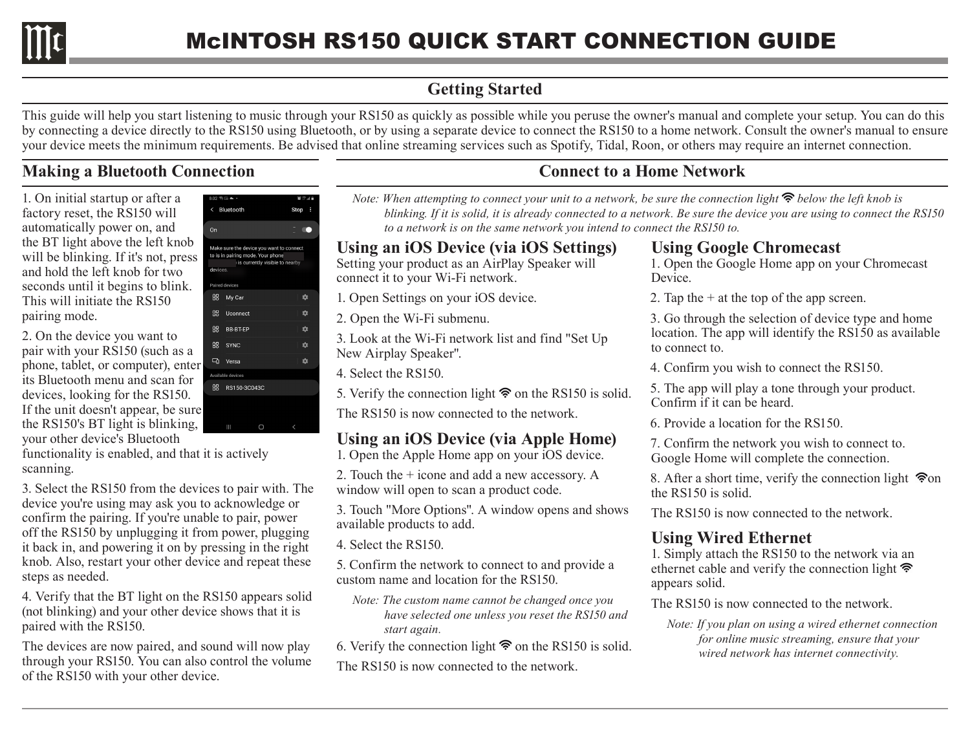

# **Getting Started**

This guide will help you start listening to music through your RS150 as quickly as possible while you peruse the owner's manual and complete your setup. You can do this by connecting a device directly to the RS150 using Bluetooth, or by using a separate device to connect the RS150 to a home network. Consult the owner's manual to ensure your device meets the minimum requirements. Be advised that online streaming services such as Spotify, Tidal, Roon, or others may require an internet connection.

## **Making a Bluetooth Connection**

1. On initial startup or after a factory reset, the RS150 will automatically power on, and the BT light above the left knob will be blinking. If it's not, press and hold the left knob for two seconds until it begins to blink. This will initiate the RS150 pairing mode.

2. On the device you want to pair with your RS150 (such as a phone, tablet, or computer), enter its Bluetooth menu and scan for devices, looking for the RS150. If the unit doesn't appear, be sure the RS150's BT light is blinking, your other device's Bluetooth

functionality is enabled, and that it is actively scanning.

3. Select the RS150 from the devices to pair with. The device you're using may ask you to acknowledge or confirm the pairing. If you're unable to pair, power off the RS150 by unplugging it from power, plugging it back in, and powering it on by pressing in the right knob. Also, restart your other device and repeat these steps as needed.

4. Verify that the BT light on the RS150 appears solid (not blinking) and your other device shows that it is paired with the RS150.

The devices are now paired, and sound will now play through your RS150. You can also control the volume of the RS150 with your other device.

| $8:02 \, \degree$ to $\blacktriangle$ + |                                                                                                                 | 算にご覧   |
|-----------------------------------------|-----------------------------------------------------------------------------------------------------------------|--------|
| $\left\langle \right\rangle$            | Bluetooth                                                                                                       | Stop : |
|                                         |                                                                                                                 |        |
| On                                      |                                                                                                                 |        |
|                                         | Make sure the device you want to connect<br>to is in pairing mode. Your phone<br>is currently visible to nearby |        |
| devices.                                |                                                                                                                 |        |
|                                         | Paired devices                                                                                                  |        |
| 88                                      | My Car                                                                                                          | ✿      |
| 88                                      | Uconnect                                                                                                        | ✿      |
| 68                                      | <b>BB-BT-EP</b>                                                                                                 | ✿      |
| 88                                      | <b>SYNC</b>                                                                                                     | ✿      |
| $\Box$                                  | Versa                                                                                                           | ☆      |
|                                         | Available devices                                                                                               |        |
| 88                                      | RS150-3C043C                                                                                                    |        |
| ֚֚֓                                     |                                                                                                                 |        |

# **Connect to a Home Network**

*Note: When attempting to connect your unit to a network, be sure the connection light*  $\hat{\mathcal{F}}$  *below the left knob is blinking. If it is solid, it is already connected to a network. Be sure the device you are using to connect the RS150 to a network is on the same network you intend to connect the RS150 to.*

#### **Using an iOS Device (via iOS Settings)**

Setting your product as an AirPlay Speaker will connect it to your Wi-Fi network.

1. Open Settings on your iOS device.

2. Open the Wi-Fi submenu.

3. Look at the Wi-Fi network list and find "Set Up New Airplay Speaker".

4. Select the RS150.

5. Verify the connection light  $\hat{\mathcal{F}}$  on the RS150 is solid.

The RS150 is now connected to the network.

### **Using an iOS Device (via Apple Home)**

1. Open the Apple Home app on your iOS device.

2. Touch the + icone and add a new accessory. A window will open to scan a product code.

3. Touch "More Options". A window opens and shows available products to add.

4. Select the RS150.

5. Confirm the network to connect to and provide a custom name and location for the RS150.

- *Note: The custom name cannot be changed once you have selected one unless you reset the RS150 and start again.*
- 6. Verify the connection light  $\hat{\mathcal{F}}$  on the RS150 is solid.

The RS150 is now connected to the network.

#### **Using Google Chromecast**

1. Open the Google Home app on your Chromecast Device.

2. Tap the  $+$  at the top of the app screen.

3. Go through the selection of device type and home location. The app will identify the RS150 as available to connect to.

4. Confirm you wish to connect the RS150.

5. The app will play a tone through your product. Confirm if it can be heard.

6. Provide a location for the RS150.

7. Confirm the network you wish to connect to. Google Home will complete the connection.

8. After a short time, verify the connection light  $\hat{\mathcal{P}}$ on the RS150 is solid.

The RS150 is now connected to the network.

### **Using Wired Ethernet**

1. Simply attach the RS150 to the network via an ethernet cable and verify the connection light appears solid.

The RS150 is now connected to the network.

*Note: If you plan on using a wired ethernet connection for online music streaming, ensure that your wired network has internet connectivity.*